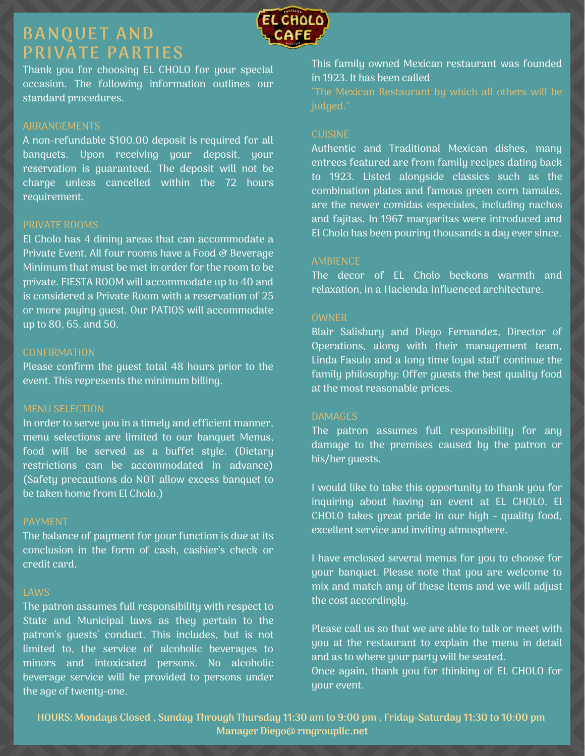### **BANQUET AND PRIVATE PARTIES**



Thank you for choosing EL CHOLO for your special occasion. The following information outlines our standard procedures.

### ARRANGEMENTS

A non-refundable \$100.00 deposit is required for all banquets. Upon receiving your deposit, your reservation is guaranteed. The deposit will not be charge unless cancelled within the 72 hours requirement.

### PRIVATE ROOMS

El Cholo has  $\overline{4}$  dining areas that can accommodate a Private Event. All four rooms have a Food & Beverage Minimum that must be met in order for the room to be private. FIESTA ROOM will accommodate up to 40 and is considered a Private Room with a reservation of 25 or more paying guest. Our PATIOS will accommodate up to 80, 65, and 50.

### CONFIRMATION

Please confirm the guest total 48 hours prior to the event. This represents the minimum billing.

### MENU SELECTION

In order to serve you in a timely and efficient manner, menu selections are limited to our banquet Menus, food will be served as a buffet style. (Dietary restrictions can be accommodated in advance) (Safety precautions do NOT allow excess banquet to be taken home from El Cholo.)

### PAYMENT

The balance of payment for your function is due at its conclusion in the form of cash, cashier's check or credit card.

### LAWS

The patron assumes full responsibility with respect to State and Municipal laws as they pertain to the patron's guests' conduct. This includes, but is not limited to, the service of alcoholic beverages to minors and intoxicated persons. No alcoholic beverage service will be provided to persons under the age of twenty-one.

This family owned Mexican restaurant was founded in 1923. It has been called

#### CUISINE

Authentic and Traditional Mexican dishes, many entrees featured are from family recipes dating back to 1923. Listed alongside classics such as the combination plates and famous green corn tamales, are the newer comidas especiales, including nachos and fajitas. In 1967 margaritas were introduced and El Cholo has been pouring thousands a day ever since.

The decor of EL Cholo beckons warmth and relaxation, in a Hacienda influenced architecture.

### **OWNER**

Blair Salisbury and Diego Fernandez, Director of Operations, along with their management team, Linda Fasulo and a long time loyal staff continue the family philosophy: Offer guests the best quality food at the most reasonable prices.

The patron assumes full responsibility for any damage to the premises caused by the patron or his/her guests.

I would like to take this opportunity to thank you for inquiring about having an event at EL CHOLO. El CHOLO takes great pride in our high - quality food, excellent service and inviting atmosphere.

I have enclosed several menus for you to choose for your banquet. Please note that you are welcome to mix and match any of these items and we will adjust the cost accordingly.

Please call us so that we are able to talk or meet with you at the restaurant to explain the menu in detail and as to where your party will be seated. Once again, thank you for thinking of EL CHOLO for your event.

HOURS: Mondays Closed, Sunday Through Thursday 11:30 am to 9:00 pm, Friday-Saturday 11:30 to 10:00 pm **Manager Diego@ rmgroupllc.net**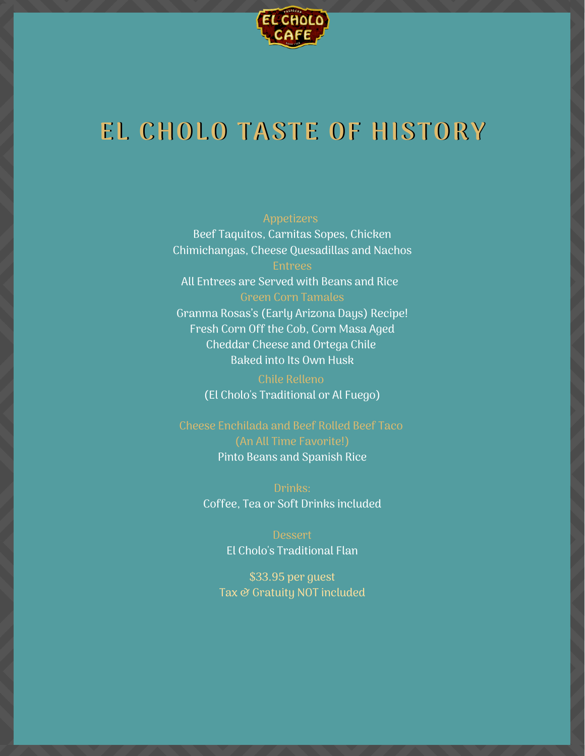

## **EL CHOLO TASTE OF HISTORY**

Beef Taquitos, Carnitas Sopes, Chicken Chimichangas, Cheese Quesadillas and Nachos Entrees

All Entrees are Served with Beans and Rice Green Corn Tamales Granma Rosas's (Early Arizona Days) Recipe! Fresh Corn Off the Cob, Corn Masa Aged Cheddar Cheese and Ortega Chile Baked into Its Own Husk

(El Cholo's Traditional or Al Fuego)

Cheese Enchilada and Beef Rolled Beef Taco Pinto Beans and Spanish Rice

> Drinks: Coffee, Tea or Soft Drinks included

> > Dessert El Cholo's Traditional Flan

\$33.95 per guest Tax & Gratuity NOT included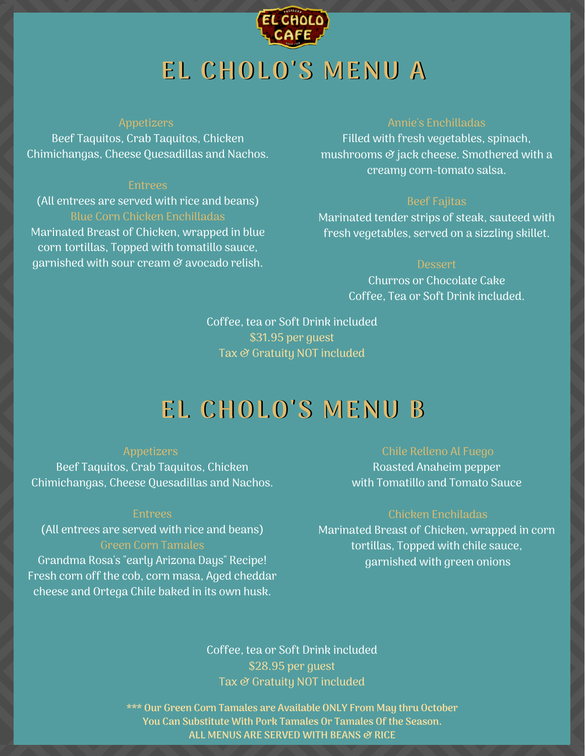

### Appetizers

Beef Taquitos, Crab Taquitos, Chicken Chimichangas, Cheese Quesadillas and Nachos.

(All entrees are served with rice and beans) Blue Corn Chicken Enchilladas Marinated Breast of Chicken, wrapped in blue corn tortillas, Topped with tomatillo sauce, garnished with sour cream  $\mathcal O$  avocado relish.

### Annie's Enchilladas

Filled with fresh vegetables, spinach, mushrooms  $\mathcal O$  jack cheese. Smothered with a creamy corn-tomato salsa.

### Beef Fajitas

Marinated tender strips of steak, sauteed with fresh vegetables, served on a sizzling skillet.

### Dessert

Churros or Chocolate Cake Coffee, Tea or Soft Drink included.

Coffee, tea or Soft Drink included \$31.95 per guest Tax & Gratuity NOT included

## **EL CHOLO'S MENU B**

### Appetizers

Beef Taquitos, Crab Taquitos, Chicken Chimichangas, Cheese Quesadillas and Nachos.

#### Entrees

(All entrees are served with rice and beans) Green Corn Tamales

Grandma Rosa's "early Arizona Days" Recipe! Fresh corn off the cob, corn masa, Aged cheddar cheese and Ortega Chile baked in its own husk.

Roasted Anaheim pepper with Tomatillo and Tomato Sauce

### Chicken Enchiladas

Marinated Breast of Chicken, wrapped in corn tortillas, Topped with chile sauce, garnished with green onions

Coffee, tea or Soft Drink included \$28.95 per guest Tax  $\vartheta$  Gratuity NOT included

**\*\*\* Our Green Corn Tamales are Available ONLY From May thru October You Can Substitute With Pork Tamales Or Tamales Of the Season. ALL MENUS ARE SERVED WITH BEANS & RICE**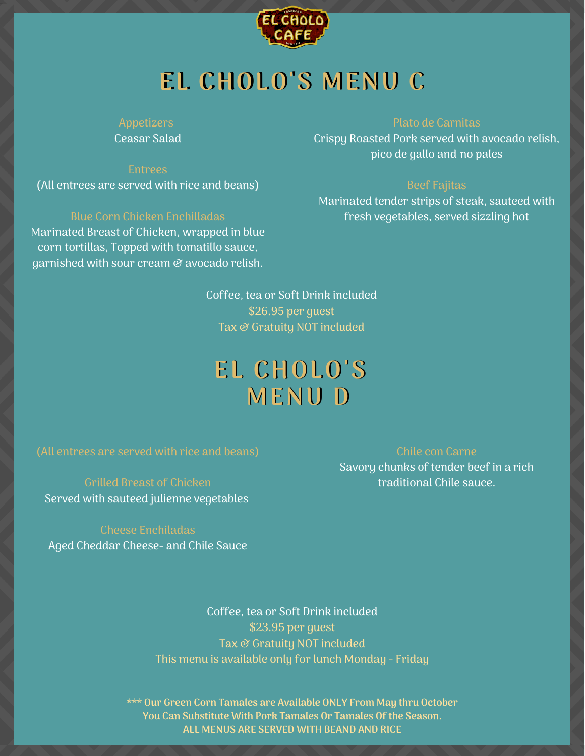

# **EL CHOLO'S MENU C**

Ceasar Salad

Entrees (All entrees are served with rice and beans)

Blue Corn Chicken Enchilladas Marinated Breast of Chicken, wrapped in blue corn tortillas, Topped with tomatillo sauce, garnished with sour cream  $\mathcal O$  avocado relish.

### Plato de Carnitas

Crispy Roasted Pork served with avocado relish, pico de gallo and no pales

Marinated tender strips of steak, sauteed with fresh vegetables, served sizzling hot

Coffee, tea or Soft Drink included \$26.95 per guest Tax & Gratuity NOT included

## **EL CHOLO'S EL CHOLO'S MENU D MENU D**

(All entrees are served with rice and beans)

Grilled Breast of Chicken Served with sauteed julienne vegetables

Cheese Enchiladas Aged Cheddar Cheese- and Chile Sauce Chile con Carne

Savory chunks of tender beef in a rich traditional Chile sauce.

Coffee, tea or Soft Drink included \$23.95 per guest Tax & Gratuity NOT included This menu is available only for lunch Monday - Friday

**\*\*\* Our Green Corn Tamales are Available ONLY From May thru October You Can Substitute With Pork Tamales Or Tamales Of the Season. ALL MENUS ARE SERVED WITH BEAND AND RICE**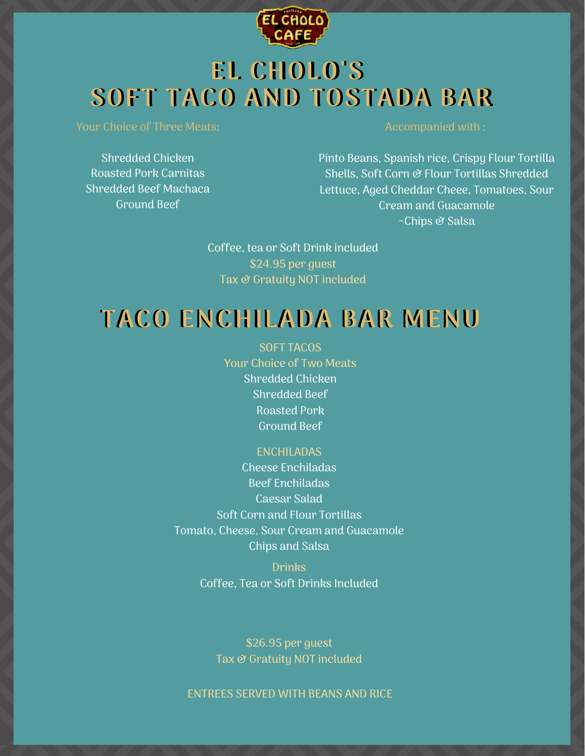

## **EL CHOLO'S EL CHOLO'S SOFT TACO AND TOSTADA BAR SOFT TACO AND TOSTADA BAR**

Your Choice of Three Meats;

Shredded Chicken Roasted Pork Carnitas Shredded Beef Machaca Ground Beef

### Accompanied with :

Pinto Beans, Spanish rice, Crispy Flour Tortilla Shells, Soft Corn & Flour Tortillas Shredded Lettuce, Aged Cheddar Cheee, Tomatoes, Sour Cream and Guacamole ~Chips & Salsa

Coffee, tea or Soft Drink included \$24.95 per guest Tax & Gratuity NOT included

### **TACO ENCHILADA BAR MENU**

SOFT TACOS Your Choice of Two Meats Shredded Chicken Shredded Beef Roasted Pork Ground Beef

### ENCHILADAS

Cheese Enchiladas Beef Enchiladas Caesar Salad Soft Corn and Flour Tortillas Tomato, Cheese, Sour Cream and Guacamole Chips and Salsa

> Drinks Coffee, Tea or Soft Drinks Included

\$26.95 per guest Tax & Gratuity NOT included

ENTREES SERVED WITH BEANS AND RICE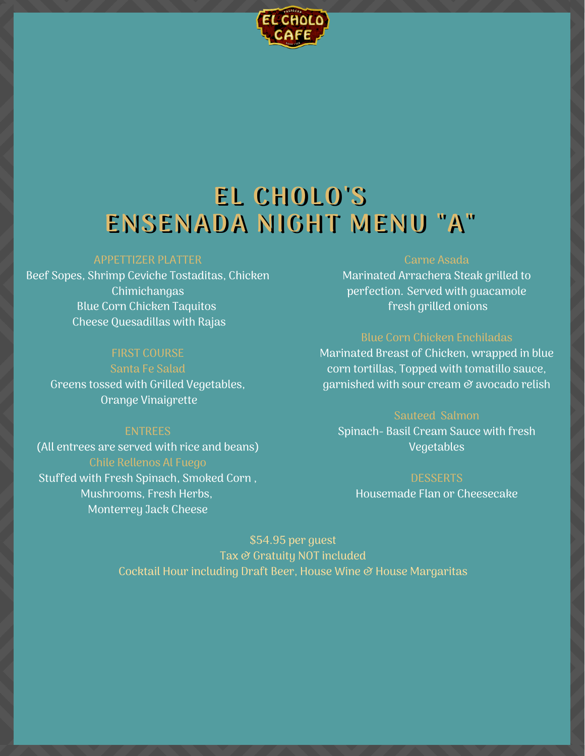

## **EL CHOLO'S EL CHOLO'S ENSENADA NIGHT MENU "A" ENSENADA NIGHT MENU "A"**

### APPETTIZER PLATTER

Beef Sopes, Shrimp Ceviche Tostaditas, Chicken **Chimichangas** Blue Corn Chicken Taquitos Cheese Quesadillas with Rajas

### FIRST COURSE

Santa Fe Salad Greens tossed with Grilled Vegetables, Orange Vinaigrette

### ENTREES

(All entrees are served with rice and beans) Stuffed with Fresh Spinach, Smoked Corn , Mushrooms, Fresh Herbs, Monterrey Jack Cheese

### Carne Asada

Marinated Arrachera Steak grilled to perfection. Served with guacamole fresh grilled onions

Marinated Breast of Chicken, wrapped in blue corn tortillas, Topped with tomatillo sauce, garnished with sour cream  $\mathcal O$  avocado relish

### Sauteed Salmon

Spinach- Basil Cream Sauce with fresh Vegetables

**DESSERTS** Housemade Flan or Cheesecake

\$54.95 per guest Tax & Gratuity NOT included Cocktail Hour including Draft Beer, House Wine & House Margaritas